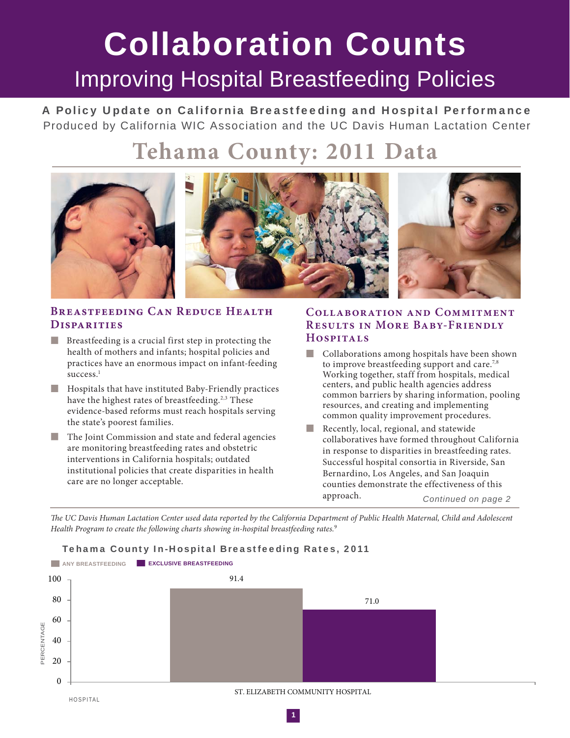# **Collaboration Counts** Improving Hospital Breastfeeding Policies

A Policy Update on California Breastfeeding and Hospital Performance Produced by California WIC Association and the UC Davis Human Lactation Center

## **Tehama County: 2011 Data**



#### **Breastfeeding Can Reduce Health Breastfeeding Can Reduce Health Disparities**

- Breastfeeding is a crucial first step in protecting the health of mothers and infants; hospital policies and practices have an enormous impact on infant-feeding success.<sup>1</sup>
- **Hospitals that have instituted Baby-Friendly practices** have the highest rates of breastfeeding.<sup>2,3</sup> These evidence-based reforms must reach hospitals serving the state's poorest families.
- **The Joint Commission and state and federal agencies** are monitoring breastfeeding rates and obstetric interventions in California hospitals; outdated institutional policies that create disparities in health care are no longer acceptable.

#### **Collaboration and Commitment Results in More Baby-Friendly Hospitals**

- **Collaborations among hospitals have been shown** to improve breastfeeding support and care.<sup>7,8</sup> Working together, staff from hospitals, medical centers, and public health agencies address common barriers by sharing information, pooling resources, and creating and implementing common quality improvement procedures.
- Recently, local, regional, and statewide collaboratives have formed throughout California in response to disparities in breastfeeding rates. Successful hospital consortia in Riverside, San Bernardino, Los Angeles, and San Joaquin counties demonstrate the effectiveness of this approach. *Continued on page 2*

The UC Davis Human Lactation Center used data reported by the California Department of Public Health Maternal, Child and Adolescent *Health Program to create the following charts showing in-hospital breastfeeding rates.*<sup>9</sup>